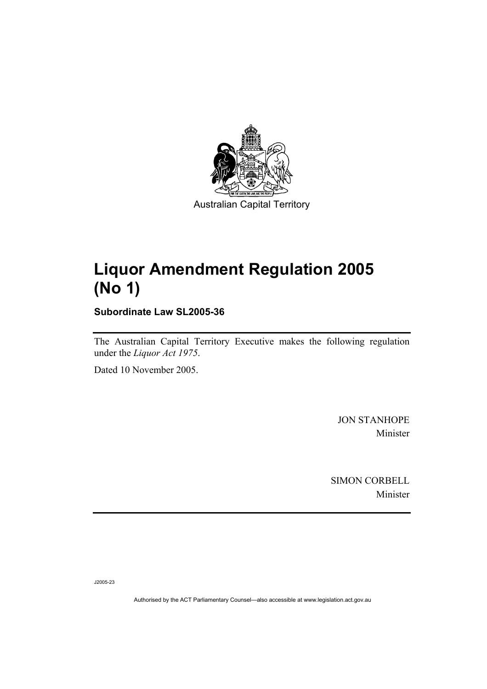

## **Liquor Amendment Regulation 2005 (No 1)**

**Subordinate Law SL2005-36** 

The Australian Capital Territory Executive makes the following regulation under the *Liquor Act 1975*.

Dated 10 November 2005.

JON STANHOPE Minister

SIMON CORBELL Minister

J2005-23

Authorised by the ACT Parliamentary Counsel—also accessible at www.legislation.act.gov.au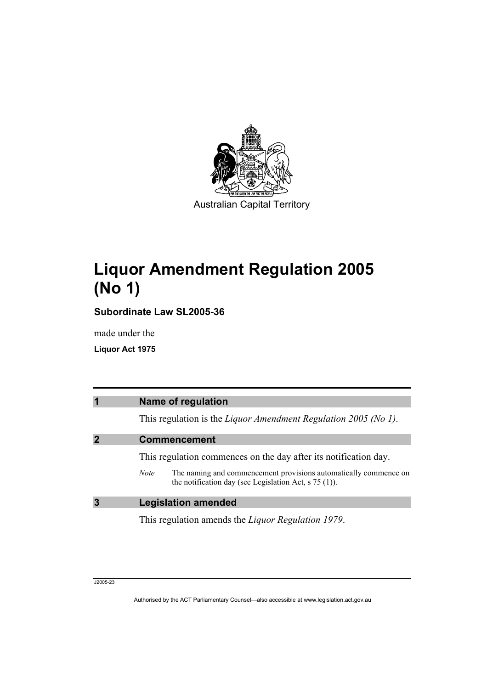

# **Liquor Amendment Regulation 2005 (No 1)**

**Subordinate Law SL2005-36** 

made under the

**Liquor Act 1975** 

| $\overline{\phantom{a}}$ | <b>Name of regulation</b>                                                                                                                         |
|--------------------------|---------------------------------------------------------------------------------------------------------------------------------------------------|
|                          | This regulation is the Liquor Amendment Regulation 2005 (No 1).                                                                                   |
|                          | <b>Commencement</b>                                                                                                                               |
|                          | This regulation commences on the day after its notification day.                                                                                  |
|                          | The naming and commencement provisions automatically commence on<br><i>Note</i><br>the notification day (see Legislation Act, $\frac{1}{5}$ (1)). |
| 3                        | <b>Legislation amended</b>                                                                                                                        |
|                          | This regulation amends the <i>Liquor Regulation 1979</i> .                                                                                        |

J2005-23

Authorised by the ACT Parliamentary Counsel—also accessible at www.legislation.act.gov.au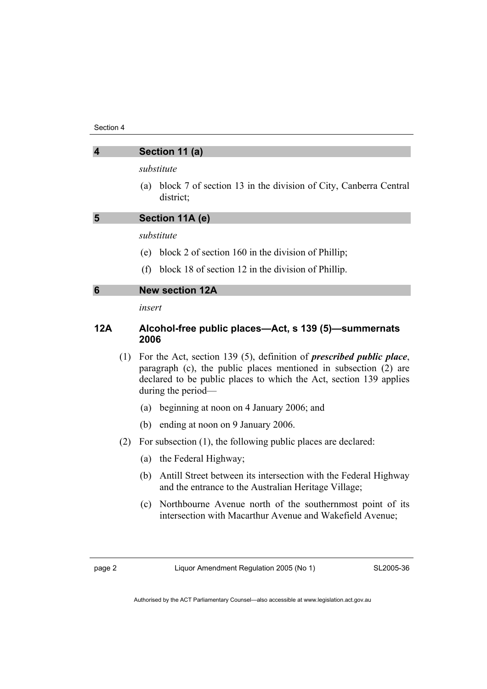| $\boldsymbol{4}$ | Section 11 (a)                                                                                                                                                                                                         |
|------------------|------------------------------------------------------------------------------------------------------------------------------------------------------------------------------------------------------------------------|
|                  | substitute                                                                                                                                                                                                             |
|                  | block 7 of section 13 in the division of City, Canberra Central<br>(a)<br>district;                                                                                                                                    |
| 5                | Section 11A (e)                                                                                                                                                                                                        |
|                  | substitute                                                                                                                                                                                                             |
|                  | block 2 of section $160$ in the division of Phillip;<br>(e)                                                                                                                                                            |
|                  | block 18 of section 12 in the division of Phillip.<br>(f)                                                                                                                                                              |
| 6                | <b>New section 12A</b>                                                                                                                                                                                                 |
|                  | insert                                                                                                                                                                                                                 |
| 12A              | Alcohol-free public places—Act, s 139 (5)—summernats<br>2006                                                                                                                                                           |
| (1)              | For the Act, section 139 (5), definition of <i>prescribed public place</i> ,<br>paragraph (c), the public places mentioned in subsection (2) are<br>declared to be public places to which the Act, section 139 applies |

- (a) beginning at noon on 4 January 2006; and
- (b) ending at noon on 9 January 2006.
- (2) For subsection (1), the following public places are declared:
	- (a) the Federal Highway;

during the period—

- (b) Antill Street between its intersection with the Federal Highway and the entrance to the Australian Heritage Village;
- (c) Northbourne Avenue north of the southernmost point of its intersection with Macarthur Avenue and Wakefield Avenue;

SL2005-36